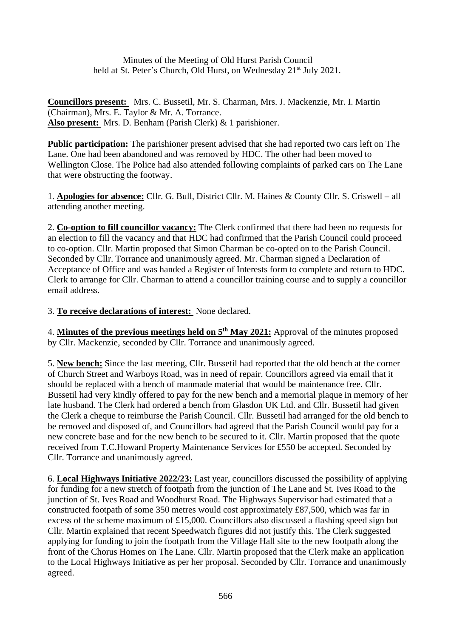Minutes of the Meeting of Old Hurst Parish Council held at St. Peter's Church, Old Hurst, on Wednesday 21<sup>st</sup> July 2021.

**Councillors present:** Mrs. C. Bussetil, Mr. S. Charman, Mrs. J. Mackenzie, Mr. I. Martin (Chairman), Mrs. E. Taylor & Mr. A. Torrance. **Also present:** Mrs. D. Benham (Parish Clerk) & 1 parishioner.

**Public participation:** The parishioner present advised that she had reported two cars left on The Lane. One had been abandoned and was removed by HDC. The other had been moved to Wellington Close. The Police had also attended following complaints of parked cars on The Lane that were obstructing the footway.

1. **Apologies for absence:** Cllr. G. Bull, District Cllr. M. Haines & County Cllr. S. Criswell – all attending another meeting.

2. **Co-option to fill councillor vacancy:** The Clerk confirmed that there had been no requests for an election to fill the vacancy and that HDC had confirmed that the Parish Council could proceed to co-option. Cllr. Martin proposed that Simon Charman be co-opted on to the Parish Council. Seconded by Cllr. Torrance and unanimously agreed. Mr. Charman signed a Declaration of Acceptance of Office and was handed a Register of Interests form to complete and return to HDC. Clerk to arrange for Cllr. Charman to attend a councillor training course and to supply a councillor email address.

3. **To receive declarations of interest:** None declared.

4. **Minutes of the previous meetings held on 5 th May 2021:** Approval of the minutes proposed by Cllr. Mackenzie, seconded by Cllr. Torrance and unanimously agreed.

5. **New bench:** Since the last meeting, Cllr. Bussetil had reported that the old bench at the corner of Church Street and Warboys Road, was in need of repair. Councillors agreed via email that it should be replaced with a bench of manmade material that would be maintenance free. Cllr. Bussetil had very kindly offered to pay for the new bench and a memorial plaque in memory of her late husband. The Clerk had ordered a bench from Glasdon UK Ltd. and Cllr. Bussetil had given the Clerk a cheque to reimburse the Parish Council. Cllr. Bussetil had arranged for the old bench to be removed and disposed of, and Councillors had agreed that the Parish Council would pay for a new concrete base and for the new bench to be secured to it. Cllr. Martin proposed that the quote received from T.C.Howard Property Maintenance Services for £550 be accepted. Seconded by Cllr. Torrance and unanimously agreed.

6. **Local Highways Initiative 2022/23:** Last year, councillors discussed the possibility of applying for funding for a new stretch of footpath from the junction of The Lane and St. Ives Road to the junction of St. Ives Road and Woodhurst Road. The Highways Supervisor had estimated that a constructed footpath of some 350 metres would cost approximately £87,500, which was far in excess of the scheme maximum of £15,000. Councillors also discussed a flashing speed sign but Cllr. Martin explained that recent Speedwatch figures did not justify this. The Clerk suggested applying for funding to join the footpath from the Village Hall site to the new footpath along the front of the Chorus Homes on The Lane. Cllr. Martin proposed that the Clerk make an application to the Local Highways Initiative as per her proposal. Seconded by Cllr. Torrance and unanimously agreed.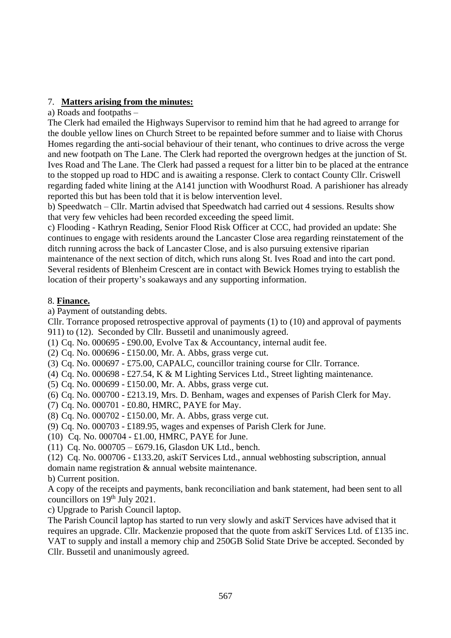## 7. **Matters arising from the minutes:**

a) Roads and footpaths –

The Clerk had emailed the Highways Supervisor to remind him that he had agreed to arrange for the double yellow lines on Church Street to be repainted before summer and to liaise with Chorus Homes regarding the anti-social behaviour of their tenant, who continues to drive across the verge and new footpath on The Lane. The Clerk had reported the overgrown hedges at the junction of St. Ives Road and The Lane. The Clerk had passed a request for a litter bin to be placed at the entrance to the stopped up road to HDC and is awaiting a response. Clerk to contact County Cllr. Criswell regarding faded white lining at the A141 junction with Woodhurst Road. A parishioner has already reported this but has been told that it is below intervention level.

b) Speedwatch – Cllr. Martin advised that Speedwatch had carried out 4 sessions. Results show that very few vehicles had been recorded exceeding the speed limit.

c) Flooding - Kathryn Reading, Senior Flood Risk Officer at CCC, had provided an update: She continues to engage with residents around the Lancaster Close area regarding reinstatement of the ditch running across the back of Lancaster Close, and is also pursuing extensive riparian maintenance of the next section of ditch, which runs along St. Ives Road and into the cart pond. Several residents of Blenheim Crescent are in contact with Bewick Homes trying to establish the location of their property's soakaways and any supporting information.

## 8. **Finance.**

a) Payment of outstanding debts.

Cllr. Torrance proposed retrospective approval of payments (1) to (10) and approval of payments 911) to (12). Seconded by Cllr. Bussetil and unanimously agreed.

(1) Cq. No. 000695 - £90.00, Evolve Tax & Accountancy, internal audit fee.

(2) Cq. No. 000696 - £150.00, Mr. A. Abbs, grass verge cut.

(3) Cq. No. 000697 - £75.00, CAPALC, councillor training course for Cllr. Torrance.

- (4) Cq. No. 000698 £27.54, K & M Lighting Services Ltd., Street lighting maintenance.
- (5) Cq. No. 000699 £150.00, Mr. A. Abbs, grass verge cut.

(6) Cq. No. 000700 - £213.19, Mrs. D. Benham, wages and expenses of Parish Clerk for May.

(7) Cq. No. 000701 - £0.80, HMRC, PAYE for May.

(8) Cq. No. 000702 - £150.00, Mr. A. Abbs, grass verge cut.

(9) Cq. No. 000703 - £189.95, wages and expenses of Parish Clerk for June.

(10) Cq. No. 000704 - £1.00, HMRC, PAYE for June.

(11) Cq. No. 000705 – £679.16, Glasdon UK Ltd., bench.

(12) Cq. No. 000706 - £133.20, askiT Services Ltd., annual webhosting subscription, annual domain name registration & annual website maintenance.

b) Current position.

A copy of the receipts and payments, bank reconciliation and bank statement, had been sent to all councillors on 19<sup>th</sup> July 2021.

c) Upgrade to Parish Council laptop.

The Parish Council laptop has started to run very slowly and askiT Services have advised that it requires an upgrade. Cllr. Mackenzie proposed that the quote from askiT Services Ltd. of £135 inc. VAT to supply and install a memory chip and 250GB Solid State Drive be accepted. Seconded by Cllr. Bussetil and unanimously agreed.